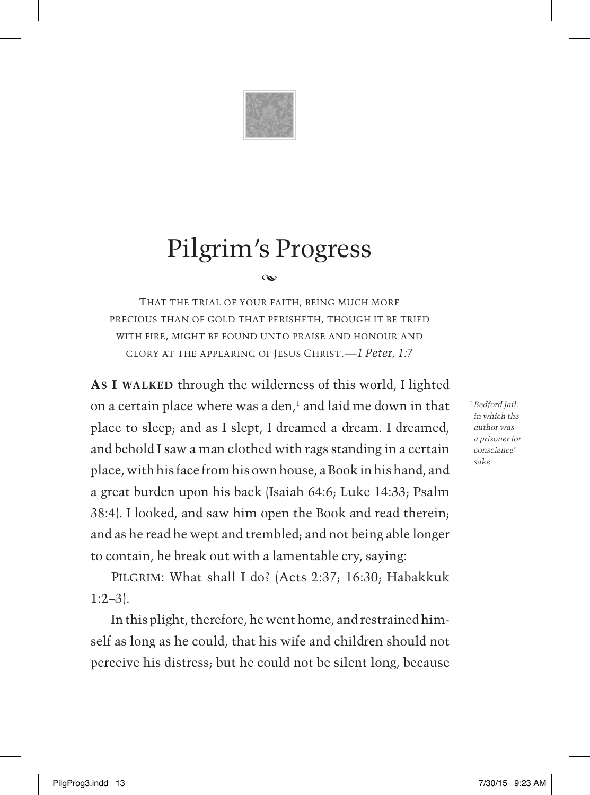

# Pilgrim's Progress

#### $\alpha$

That the trial of your faith, being much more precious than of gold that perisheth, though it be tried with fire, might be found unto praise and honour and glory at the appearing of Jesus Christ.*—1 Peter, 1:7*

**As I walked** through the wilderness of this world, I lighted on a certain place where was a den, $<sup>1</sup>$  and laid me down in that</sup> place to sleep; and as I slept, I dreamed a dream. I dreamed, and behold I saw a man clothed with rags standing in a certain place, with his face from his own house, a Book in his hand, and a great burden upon his back (Isaiah 64:6; Luke 14:33; Psalm 38:4). I looked, and saw him open the Book and read therein; and as he read he wept and trembled; and not being able longer to contain, he break out with a lamentable cry, saying:

PILGRIM: What shall I do? (Acts 2:37; 16:30; Habakkuk  $1:2-3$ .

In this plight, therefore, he went home, and restrained himself as long as he could, that his wife and children should not perceive his distress; but he could not be silent long, because *<sup>1</sup> Bedford Jail, in which the author was a prisoner for conscience' sake.*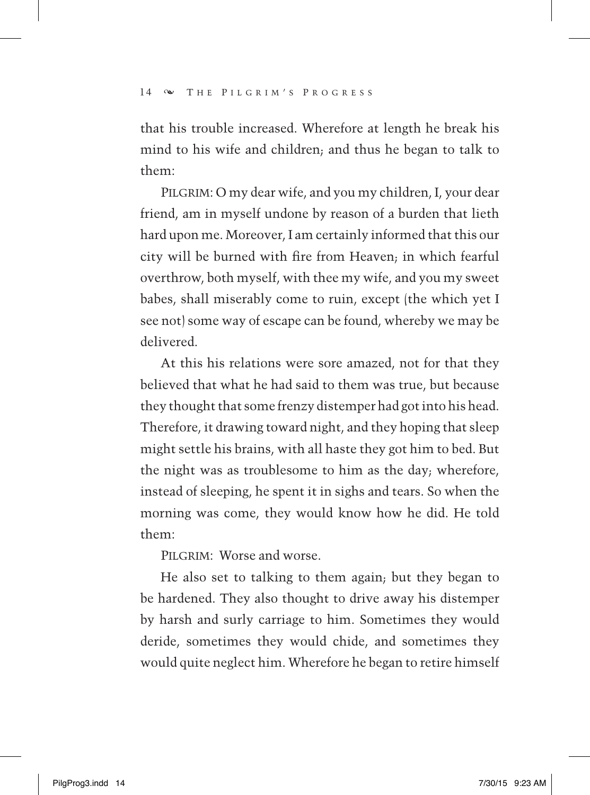that his trouble increased. Wherefore at length he break his mind to his wife and children; and thus he began to talk to them:

PILGRIM: O my dear wife, and you my children, I, your dear friend, am in myself undone by reason of a burden that lieth hard upon me. Moreover, I am certainly informed that this our city will be burned with fire from Heaven; in which fearful overthrow, both myself, with thee my wife, and you my sweet babes, shall miserably come to ruin, except (the which yet I see not) some way of escape can be found, whereby we may be delivered.

At this his relations were sore amazed, not for that they believed that what he had said to them was true, but because they thought that some frenzy distemper had got into his head. Therefore, it drawing toward night, and they hoping that sleep might settle his brains, with all haste they got him to bed. But the night was as troublesome to him as the day; wherefore, instead of sleeping, he spent it in sighs and tears. So when the morning was come, they would know how he did. He told them:

PILGRIM: Worse and worse.

He also set to talking to them again; but they began to be hardened. They also thought to drive away his distemper by harsh and surly carriage to him. Sometimes they would deride, sometimes they would chide, and sometimes they would quite neglect him. Wherefore he began to retire himself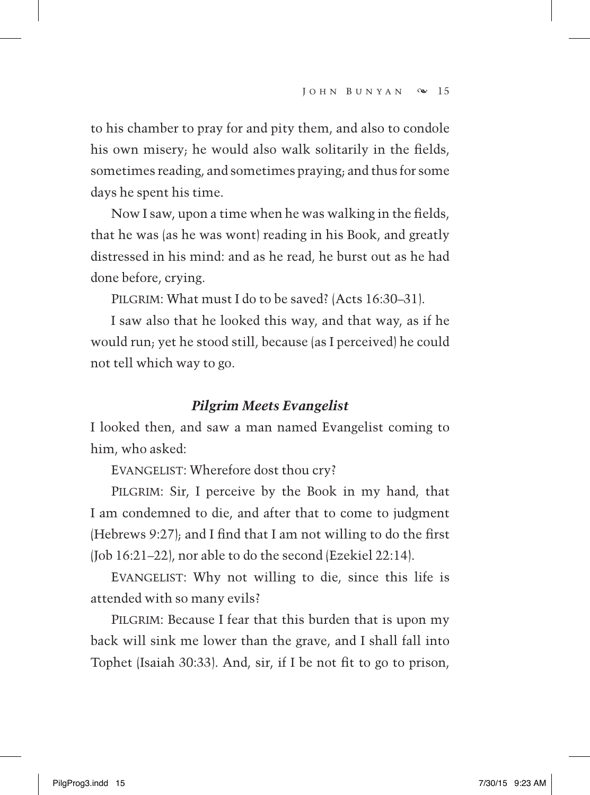to his chamber to pray for and pity them, and also to condole his own misery; he would also walk solitarily in the fields, sometimes reading, and sometimes praying; and thus for some days he spent his time.

Now I saw, upon a time when he was walking in the fields, that he was (as he was wont) reading in his Book, and greatly distressed in his mind: and as he read, he burst out as he had done before, crying.

PILGRIM: What must I do to be saved? (Acts 16:30-31).

I saw also that he looked this way, and that way, as if he would run; yet he stood still, because (as I perceived) he could not tell which way to go.

### *Pilgrim Meets Evangelist*

I looked then, and saw a man named Evangelist coming to him, who asked:

EVANGELIST: Wherefore dost thou cry?

PILGRIM: Sir, I perceive by the Book in my hand, that I am condemned to die, and after that to come to judgment (Hebrews 9:27); and I find that I am not willing to do the first (Job 16:21–22), nor able to do the second (Ezekiel 22:14).

 Evangelist: Why not willing to die, since this life is attended with so many evils?

PILGRIM: Because I fear that this burden that is upon my back will sink me lower than the grave, and I shall fall into Tophet (Isaiah 30:33). And, sir, if I be not fit to go to prison,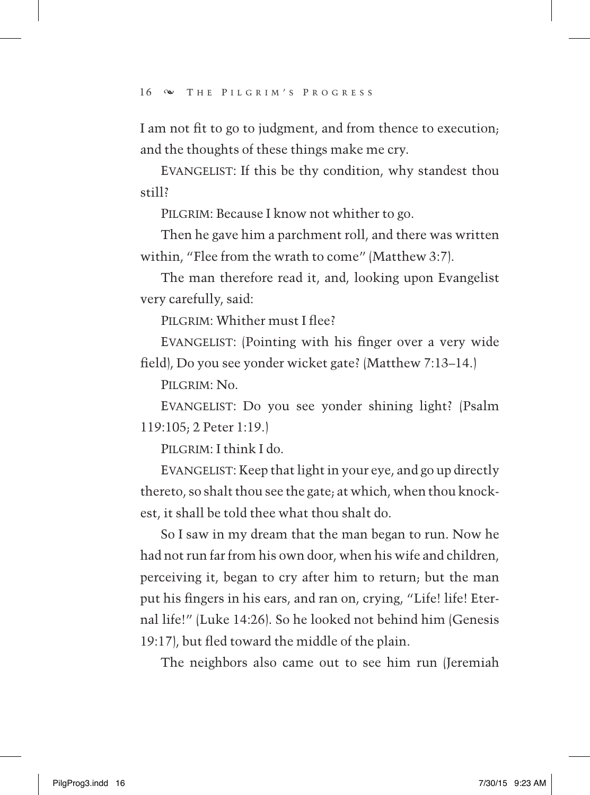I am not fit to go to judgment, and from thence to execution; and the thoughts of these things make me cry.

EVANGELIST: If this be thy condition, why standest thou still?

PILGRIM: Because I know not whither to go.

Then he gave him a parchment roll, and there was written within, "Flee from the wrath to come" (Matthew 3:7).

The man therefore read it, and, looking upon Evangelist very carefully, said:

PILGRIM: Whither must I flee?

EVANGELIST: (Pointing with his finger over a very wide field), Do you see yonder wicket gate? (Matthew 7:13*–*14.)

PILCRIM:  $N_0$ .

 Evangelist: Do you see yonder shining light? (Psalm 119:105; 2 Peter 1:19.)

Pilgrim: I think I do.

EVANGELIST: Keep that light in your eye, and go up directly thereto, so shalt thou see the gate; at which, when thou knockest, it shall be told thee what thou shalt do.

So I saw in my dream that the man began to run. Now he had not run far from his own door, when his wife and children, perceiving it, began to cry after him to return; but the man put his fingers in his ears, and ran on, crying, "Life! life! Eternal life!" (Luke 14:26). So he looked not behind him (Genesis 19:17), but fled toward the middle of the plain.

The neighbors also came out to see him run (Jeremiah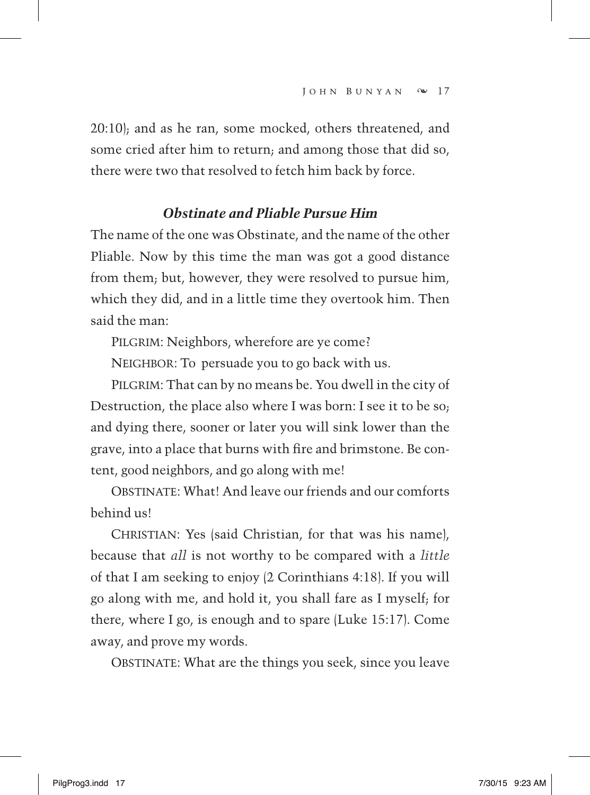20:10); and as he ran, some mocked, others threatened, and some cried after him to return; and among those that did so, there were two that resolved to fetch him back by force.

#### *Obstinate and Pliable Pursue Him*

The name of the one was Obstinate, and the name of the other Pliable. Now by this time the man was got a good distance from them; but, however, they were resolved to pursue him, which they did, and in a little time they overtook him. Then said the man:

PILGRIM: Neighbors, wherefore are ye come?

NEIGHBOR: To persuade you to go back with us.

PILGRIM: That can by no means be. You dwell in the city of Destruction, the place also where I was born: I see it to be so; and dying there, sooner or later you will sink lower than the grave, into a place that burns with fire and brimstone. Be content, good neighbors, and go along with me!

 Obstinate: What! And leave our friends and our comforts behind us!

CHRISTIAN: Yes (said Christian, for that was his name), because that *all* is not worthy to be compared with a *little*  of that I am seeking to enjoy (2 Corinthians 4:18). If you will go along with me, and hold it, you shall fare as I myself; for there, where I go, is enough and to spare (Luke 15:17). Come away, and prove my words.

OBSTINATE: What are the things you seek, since you leave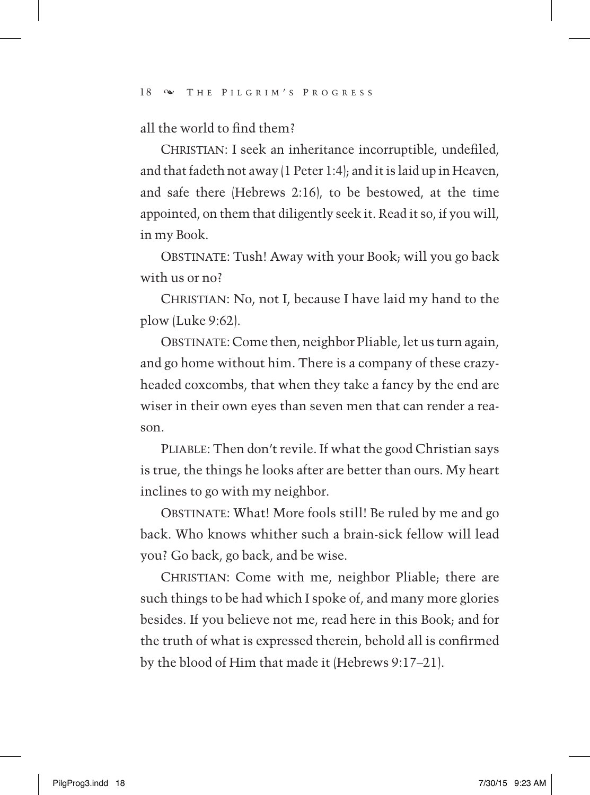all the world to find them?

CHRISTIAN: I seek an inheritance incorruptible, undefiled, and that fadeth not away (1 Peter 1:4); and it is laid up in Heaven, and safe there (Hebrews 2:16), to be bestowed, at the time appointed, on them that diligently seek it. Read it so, if you will, in my Book.

OBSTINATE: Tush! Away with your Book; will you go back with us or no?

CHRISTIAN: No, not I, because I have laid my hand to the plow (Luke 9:62).

OBSTINATE: Come then, neighbor Pliable, let us turn again, and go home without him. There is a company of these crazyheaded coxcombs, that when they take a fancy by the end are wiser in their own eyes than seven men that can render a reason.

PLIABLE: Then don't revile. If what the good Christian says is true, the things he looks after are better than ours. My heart inclines to go with my neighbor.

OBSTINATE: What! More fools still! Be ruled by me and go back. Who knows whither such a brain-sick fellow will lead you? Go back, go back, and be wise.

CHRISTIAN: Come with me, neighbor Pliable; there are such things to be had which I spoke of, and many more glories besides. If you believe not me, read here in this Book; and for the truth of what is expressed therein, behold all is confirmed by the blood of Him that made it (Hebrews 9:17–21).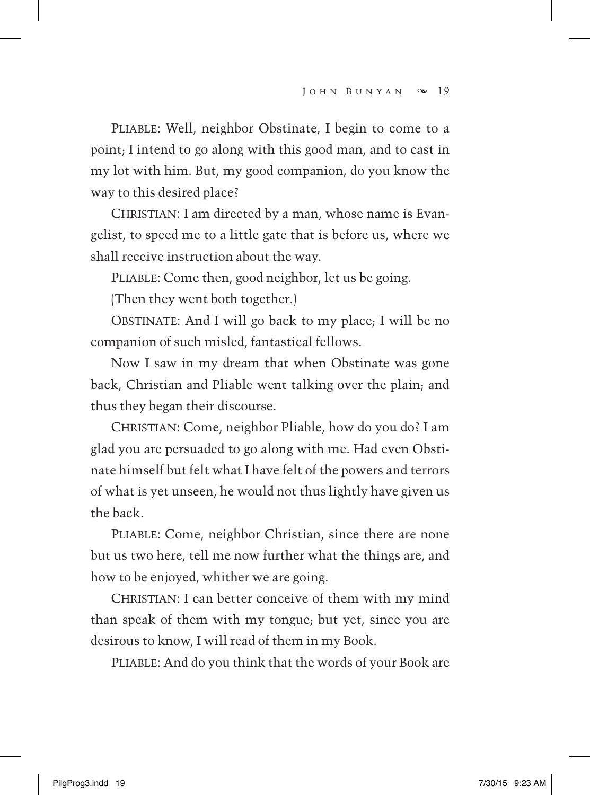PLIABLE: Well, neighbor Obstinate, I begin to come to a point; I intend to go along with this good man, and to cast in my lot with him. But, my good companion, do you know the way to this desired place?

CHRISTIAN: I am directed by a man, whose name is Evangelist, to speed me to a little gate that is before us, where we shall receive instruction about the way.

PLIABLE: Come then, good neighbor, let us be going.

(Then they went both together.)

OBSTINATE: And I will go back to my place; I will be no companion of such misled, fantastical fellows.

Now I saw in my dream that when Obstinate was gone back, Christian and Pliable went talking over the plain; and thus they began their discourse.

 Christian: Come, neighbor Pliable, how do you do? I am glad you are persuaded to go along with me. Had even Obstinate himself but felt what I have felt of the powers and terrors of what is yet unseen, he would not thus lightly have given us the back.

PLIABLE: Come, neighbor Christian, since there are none but us two here, tell me now further what the things are, and how to be enjoyed, whither we are going.

CHRISTIAN: I can better conceive of them with my mind than speak of them with my tongue; but yet, since you are desirous to know, I will read of them in my Book.

PLIABLE: And do you think that the words of your Book are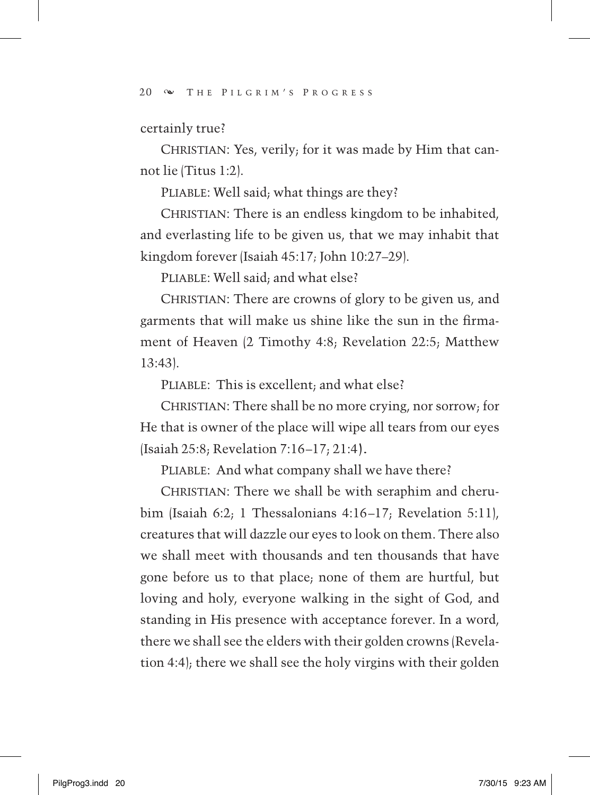certainly true?

CHRISTIAN: Yes, verily; for it was made by Him that cannot lie (Titus 1:2).

PLIABLE: Well said; what things are they?

CHRISTIAN: There is an endless kingdom to be inhabited, and everlasting life to be given us, that we may inhabit that kingdom forever (Isaiah 45:17*;* John 10:27–29).

PLIABLE: Well said; and what else?

CHRISTIAN: There are crowns of glory to be given us, and garments that will make us shine like the sun in the firmament of Heaven (2 Timothy 4:8; Revelation 22:5; Matthew 13:43).

PLIABLE: This is excellent; and what else?

CHRISTIAN: There shall be no more crying, nor sorrow; for He that is owner of the place will wipe all tears from our eyes (Isaiah 25:8; Revelation 7:16–17; 21:4).

PLIABLE: And what company shall we have there?

CHRISTIAN: There we shall be with seraphim and cherubim (Isaiah 6:2; 1 Thessalonians 4:16–17; Revelation 5:11), creatures that will dazzle our eyes to look on them. There also we shall meet with thousands and ten thousands that have gone before us to that place; none of them are hurtful, but loving and holy, everyone walking in the sight of God, and standing in His presence with acceptance forever. In a word, there we shall see the elders with their golden crowns (Revelation 4:4); there we shall see the holy virgins with their golden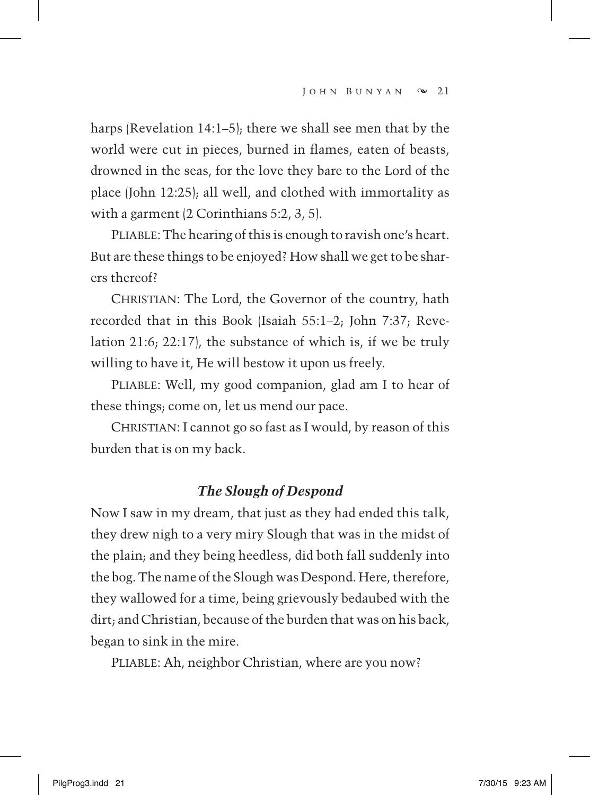harps (Revelation 14:1–5); there we shall see men that by the world were cut in pieces, burned in flames, eaten of beasts, drowned in the seas, for the love they bare to the Lord of the place (John 12:25); all well, and clothed with immortality as with a garment (2 Corinthians 5:2, 3, 5).

PLIABLE: The hearing of this is enough to ravish one's heart. But are these things to be enjoyed? How shall we get to be sharers thereof?

CHRISTIAN: The Lord, the Governor of the country, hath recorded that in this Book (Isaiah 55:1–2; John 7:37; Revelation 21:6; 22:17), the substance of which is, if we be truly willing to have it, He will bestow it upon us freely.

PLIABLE: Well, my good companion, glad am I to hear of these things; come on, let us mend our pace.

CHRISTIAN: I cannot go so fast as I would, by reason of this burden that is on my back.

#### *The Slough of Despond*

Now I saw in my dream, that just as they had ended this talk, they drew nigh to a very miry Slough that was in the midst of the plain; and they being heedless, did both fall suddenly into the bog. The name of the Slough was Despond. Here, therefore, they wallowed for a time, being grievously bedaubed with the dirt; and Christian, because of the burden that was on his back, began to sink in the mire.

PLIABLE: Ah, neighbor Christian, where are you now?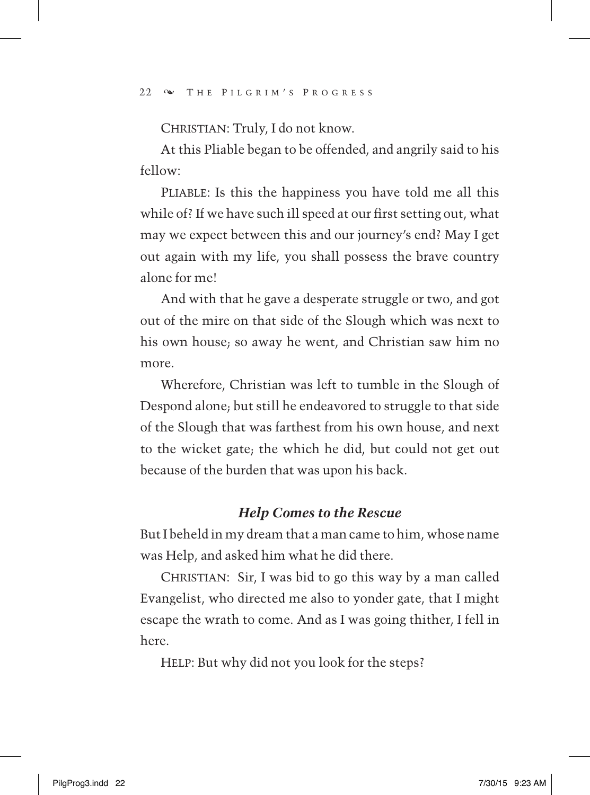CHRISTIAN: Truly, I do not know.

At this Pliable began to be offended, and angrily said to his fellow:

PLIABLE: Is this the happiness you have told me all this while of? If we have such ill speed at our first setting out, what may we expect between this and our journey's end? May I get out again with my life, you shall possess the brave country alone for me!

And with that he gave a desperate struggle or two, and got out of the mire on that side of the Slough which was next to his own house; so away he went, and Christian saw him no more.

Wherefore, Christian was left to tumble in the Slough of Despond alone; but still he endeavored to struggle to that side of the Slough that was farthest from his own house, and next to the wicket gate; the which he did, but could not get out because of the burden that was upon his back.

#### *Help Comes to the Rescue*

But I beheld in my dream that a man came to him, whose name was Help, and asked him what he did there.

CHRISTIAN: Sir, I was bid to go this way by a man called Evangelist, who directed me also to yonder gate, that I might escape the wrath to come. And as I was going thither, I fell in here.

HELP: But why did not you look for the steps?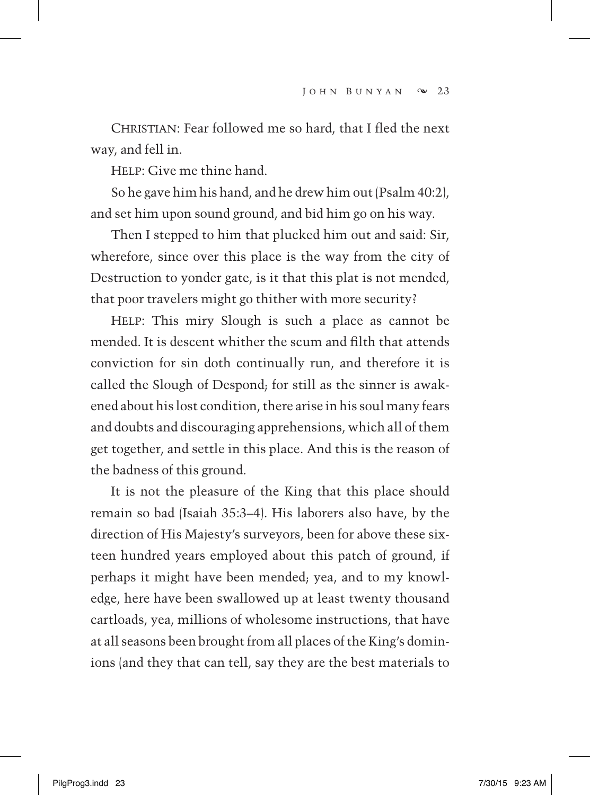CHRISTIAN: Fear followed me so hard, that I fled the next way, and fell in.

Help: Give me thine hand.

So he gave him his hand, and he drew him out (Psalm 40:2), and set him upon sound ground, and bid him go on his way.

Then I stepped to him that plucked him out and said: Sir, wherefore, since over this place is the way from the city of Destruction to yonder gate, is it that this plat is not mended, that poor travelers might go thither with more security?

 Help: This miry Slough is such a place as cannot be mended. It is descent whither the scum and filth that attends conviction for sin doth continually run, and therefore it is called the Slough of Despond; for still as the sinner is awakened about his lost condition, there arise in his soul many fears and doubts and discouraging apprehensions, which all of them get together, and settle in this place. And this is the reason of the badness of this ground.

It is not the pleasure of the King that this place should remain so bad (Isaiah 35:3–4). His laborers also have, by the direction of His Majesty's surveyors, been for above these sixteen hundred years employed about this patch of ground, if perhaps it might have been mended; yea, and to my knowledge, here have been swallowed up at least twenty thousand cartloads, yea, millions of wholesome instructions, that have at all seasons been brought from all places of the King's dominions (and they that can tell, say they are the best materials to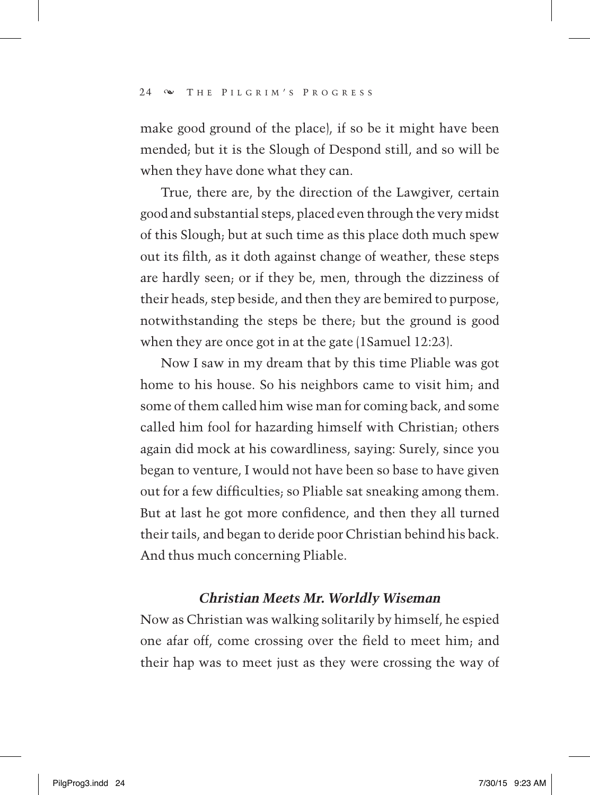make good ground of the place), if so be it might have been mended; but it is the Slough of Despond still, and so will be when they have done what they can.

True, there are, by the direction of the Lawgiver, certain good and substantial steps, placed even through the very midst of this Slough; but at such time as this place doth much spew out its filth, as it doth against change of weather, these steps are hardly seen; or if they be, men, through the dizziness of their heads, step beside, and then they are bemired to purpose, notwithstanding the steps be there; but the ground is good when they are once got in at the gate (1Samuel 12:23).

Now I saw in my dream that by this time Pliable was got home to his house. So his neighbors came to visit him; and some of them called him wise man for coming back, and some called him fool for hazarding himself with Christian; others again did mock at his cowardliness, saying: Surely, since you began to venture, I would not have been so base to have given out for a few difficulties; so Pliable sat sneaking among them. But at last he got more confidence, and then they all turned their tails, and began to deride poor Christian behind his back. And thus much concerning Pliable.

## *Christian Meets Mr. Worldly Wiseman*

Now as Christian was walking solitarily by himself, he espied one afar off, come crossing over the field to meet him; and their hap was to meet just as they were crossing the way of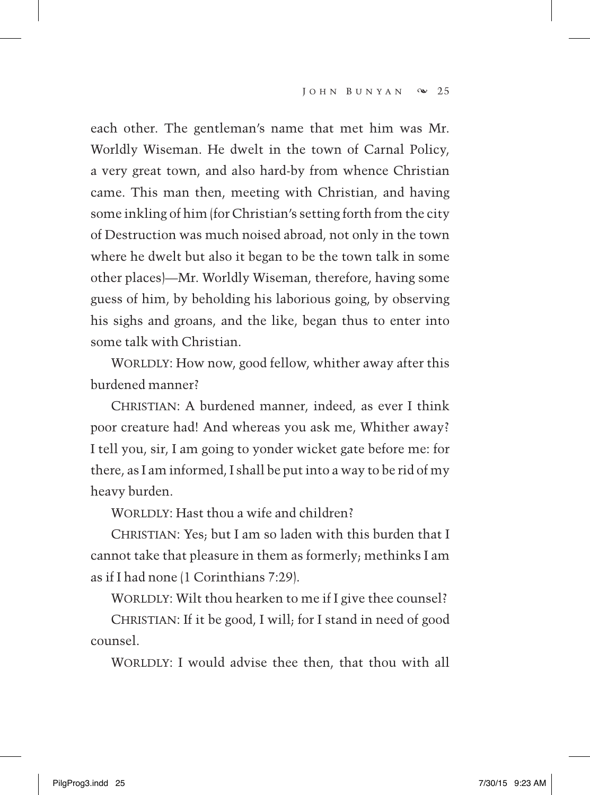each other. The gentleman's name that met him was Mr. Worldly Wiseman. He dwelt in the town of Carnal Policy, a very great town, and also hard-by from whence Christian came. This man then, meeting with Christian, and having some inkling of him (for Christian's setting forth from the city of Destruction was much noised abroad, not only in the town where he dwelt but also it began to be the town talk in some other places)—Mr. Worldly Wiseman, therefore, having some guess of him, by beholding his laborious going, by observing his sighs and groans, and the like, began thus to enter into some talk with Christian.

WORLDLY: How now, good fellow, whither away after this burdened manner?

CHRISTIAN: A burdened manner, indeed, as ever I think poor creature had! And whereas you ask me, Whither away? I tell you, sir, I am going to yonder wicket gate before me: for there, as I am informed, I shall be put into a way to be rid of my heavy burden.

WORLDLY: Hast thou a wife and children?

CHRISTIAN: Yes; but I am so laden with this burden that I cannot take that pleasure in them as formerly; methinks I am as if I had none (1 Corinthians 7:29).

WORLDLY: Wilt thou hearken to me if I give thee counsel?

CHRISTIAN: If it be good, I will; for I stand in need of good counsel.

WORLDLY: I would advise thee then, that thou with all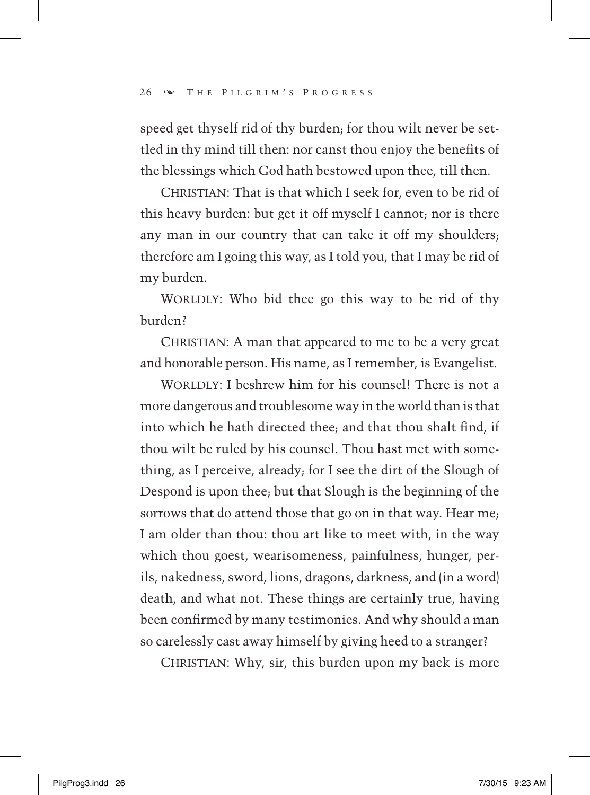speed get thyself rid of thy burden; for thou wilt never be settled in thy mind till then: nor canst thou enjoy the benefits of the blessings which God hath bestowed upon thee, till then.

CHRISTIAN: That is that which I seek for, even to be rid of this heavy burden: but get it off myself I cannot; nor is there any man in our country that can take it off my shoulders; therefore am I going this way, as I told you, that I may be rid of my burden.

WORLDLY: Who bid thee go this way to be rid of thy burden?

CHRISTIAN: A man that appeared to me to be a very great and honorable person. His name, as I remember, is Evangelist.

WORLDLY: I beshrew him for his counsel! There is not a more dangerous and troublesome way in the world than is that into which he hath directed thee; and that thou shalt find, if thou wilt be ruled by his counsel. Thou hast met with something, as I perceive, already; for I see the dirt of the Slough of Despond is upon thee; but that Slough is the beginning of the sorrows that do attend those that go on in that way. Hear me; I am older than thou: thou art like to meet with, in the way which thou goest, wearisomeness, painfulness, hunger, perils, nakedness, sword, lions, dragons, darkness, and (in a word) death, and what not. These things are certainly true, having been confirmed by many testimonies. And why should a man so carelessly cast away himself by giving heed to a stranger?

CHRISTIAN: Why, sir, this burden upon my back is more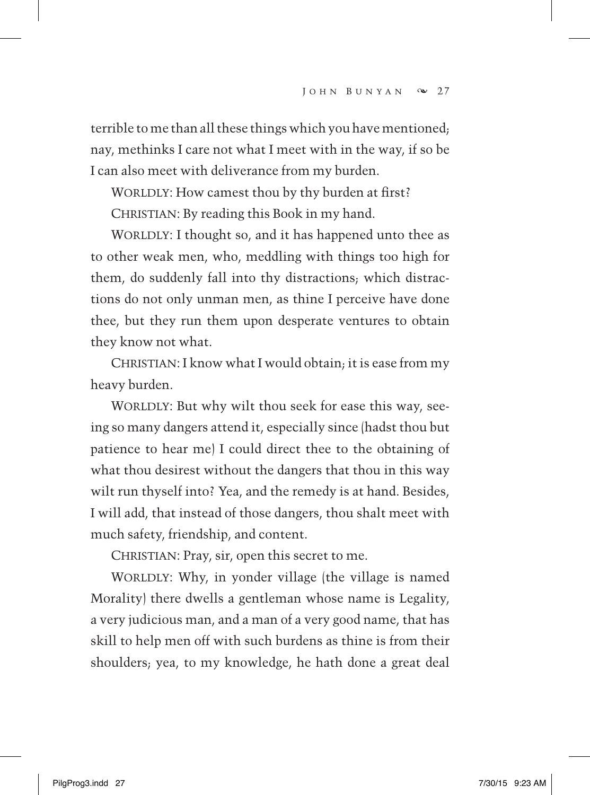terrible to me than all these things which you have mentioned; nay, methinks I care not what I meet with in the way, if so be I can also meet with deliverance from my burden.

WORLDLY: How camest thou by thy burden at first?

CHRISTIAN: By reading this Book in my hand.

WORLDLY: I thought so, and it has happened unto thee as to other weak men, who, meddling with things too high for them, do suddenly fall into thy distractions; which distractions do not only unman men, as thine I perceive have done thee, but they run them upon desperate ventures to obtain they know not what.

CHRISTIAN: I know what I would obtain; it is ease from my heavy burden.

WORLDLY: But why wilt thou seek for ease this way, seeing so many dangers attend it, especially since (hadst thou but patience to hear me) I could direct thee to the obtaining of what thou desirest without the dangers that thou in this way wilt run thyself into? Yea, and the remedy is at hand. Besides, I will add, that instead of those dangers, thou shalt meet with much safety, friendship, and content.

CHRISTIAN: Pray, sir, open this secret to me.

WORLDLY: Why, in yonder village (the village is named Morality) there dwells a gentleman whose name is Legality, a very judicious man, and a man of a very good name, that has skill to help men off with such burdens as thine is from their shoulders; yea, to my knowledge, he hath done a great deal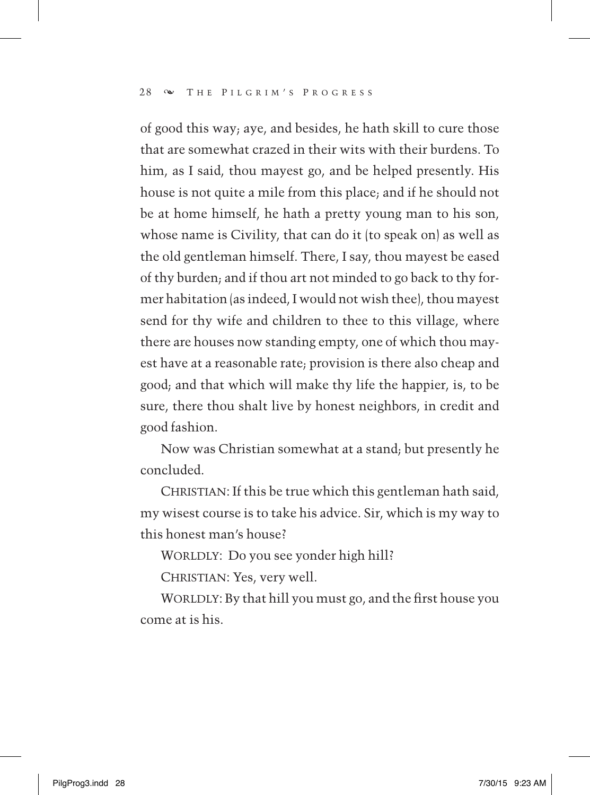of good this way; aye, and besides, he hath skill to cure those that are somewhat crazed in their wits with their burdens. To him, as I said, thou mayest go, and be helped presently. His house is not quite a mile from this place; and if he should not be at home himself, he hath a pretty young man to his son, whose name is Civility, that can do it (to speak on) as well as the old gentleman himself. There, I say, thou mayest be eased of thy burden; and if thou art not minded to go back to thy former habitation (as indeed, I would not wish thee), thou mayest send for thy wife and children to thee to this village, where there are houses now standing empty, one of which thou mayest have at a reasonable rate; provision is there also cheap and good; and that which will make thy life the happier, is, to be sure, there thou shalt live by honest neighbors, in credit and good fashion.

Now was Christian somewhat at a stand; but presently he concluded.

CHRISTIAN: If this be true which this gentleman hath said, my wisest course is to take his advice. Sir, which is my way to this honest man's house?

WORLDLY: Do you see yonder high hill?

CHRISTIAN: Yes, very well.

WORLDLY: By that hill you must go, and the first house you come at is his.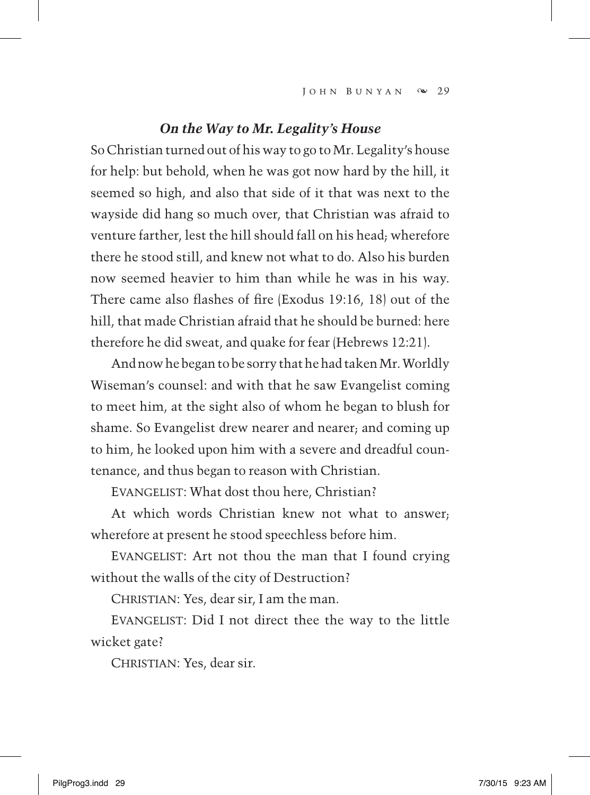#### *On the Way to Mr. Legality's House*

So Christian turned out of his way to go to Mr. Legality's house for help: but behold, when he was got now hard by the hill, it seemed so high, and also that side of it that was next to the wayside did hang so much over, that Christian was afraid to venture farther, lest the hill should fall on his head; wherefore there he stood still, and knew not what to do. Also his burden now seemed heavier to him than while he was in his way. There came also flashes of fire (Exodus 19:16, 18) out of the hill, that made Christian afraid that he should be burned: here therefore he did sweat, and quake for fear (Hebrews 12:21).

And now he began to be sorry that he had taken Mr. Worldly Wiseman's counsel: and with that he saw Evangelist coming to meet him, at the sight also of whom he began to blush for shame. So Evangelist drew nearer and nearer; and coming up to him, he looked upon him with a severe and dreadful countenance, and thus began to reason with Christian.

EVANGELIST: What dost thou here, Christian?

At which words Christian knew not what to answer; wherefore at present he stood speechless before him.

 Evangelist: Art not thou the man that I found crying without the walls of the city of Destruction?

CHRISTIAN: Yes, dear sir, I am the man.

 Evangelist: Did I not direct thee the way to the little wicket gate?

CHRISTIAN: Yes, dear sir.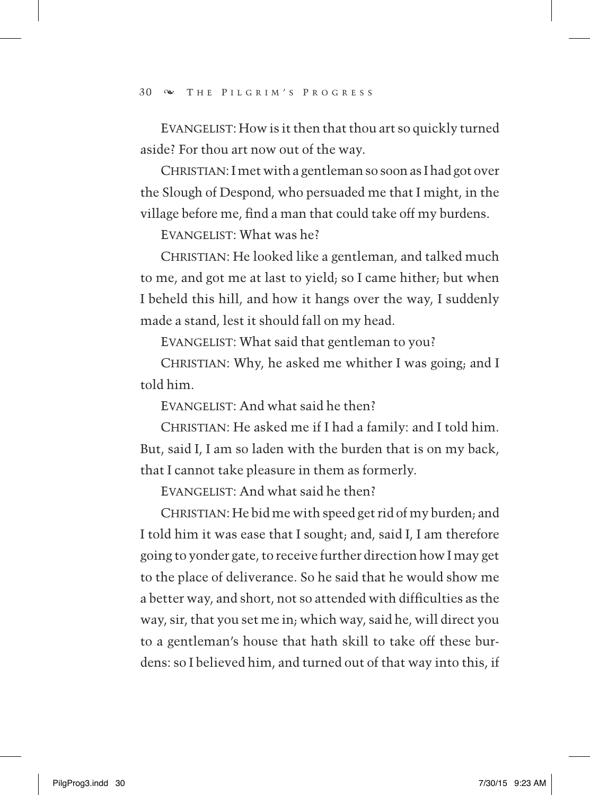EVANGELIST: How is it then that thou art so quickly turned aside? For thou art now out of the way.

CHRISTIAN: I met with a gentleman so soon as I had got over the Slough of Despond, who persuaded me that I might, in the village before me, find a man that could take off my burdens.

Evangelist: What was he?

CHRISTIAN: He looked like a gentleman, and talked much to me, and got me at last to yield; so I came hither; but when I beheld this hill, and how it hangs over the way, I suddenly made a stand, lest it should fall on my head.

EVANGELIST: What said that gentleman to you?

CHRISTIAN: Why, he asked me whither I was going; and I told him.

EVANGELIST: And what said he then?

CHRISTIAN: He asked me if I had a family: and I told him. But, said I, I am so laden with the burden that is on my back, that I cannot take pleasure in them as formerly.

EVANGELIST: And what said he then?

CHRISTIAN: He bid me with speed get rid of my burden; and I told him it was ease that I sought; and, said I, I am therefore going to yonder gate, to receive further direction how I may get to the place of deliverance. So he said that he would show me a better way, and short, not so attended with difficulties as the way, sir, that you set me in; which way, said he, will direct you to a gentleman's house that hath skill to take off these burdens: so I believed him, and turned out of that way into this, if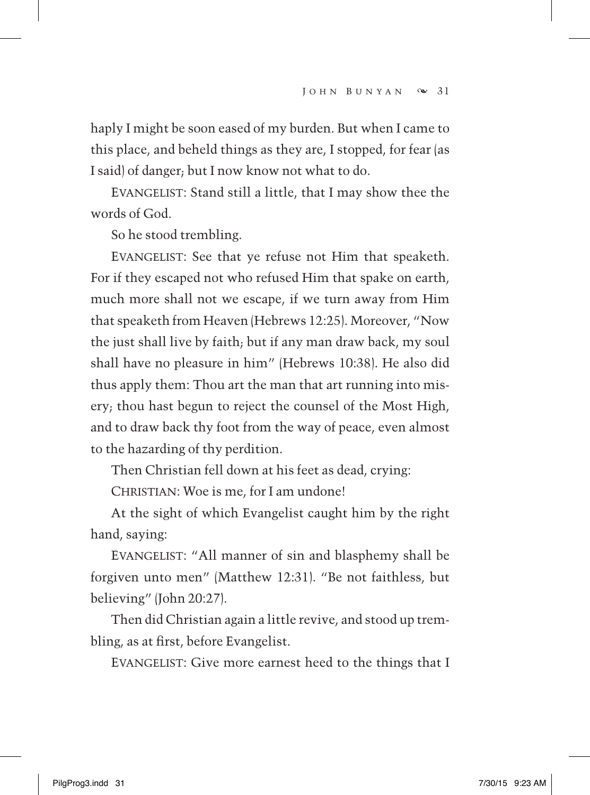haply I might be soon eased of my burden. But when I came to this place, and beheld things as they are, I stopped, for fear (as I said) of danger; but I now know not what to do.

EVANGELIST: Stand still a little, that I may show thee the words of God.

So he stood trembling.

 Evangelist: See that ye refuse not Him that speaketh. For if they escaped not who refused Him that spake on earth, much more shall not we escape, if we turn away from Him that speaketh from Heaven (Hebrews 12:25). Moreover, "Now the just shall live by faith; but if any man draw back, my soul shall have no pleasure in him" (Hebrews 10:38). He also did thus apply them: Thou art the man that art running into misery; thou hast begun to reject the counsel of the Most High, and to draw back thy foot from the way of peace, even almost to the hazarding of thy perdition.

Then Christian fell down at his feet as dead, crying:

CHRISTIAN: Woe is me, for I am undone!

At the sight of which Evangelist caught him by the right hand, saying:

 Evangelist: "All manner of sin and blasphemy shall be forgiven unto men" (Matthew 12:31). "Be not faithless, but believing" (John 20:27).

Then did Christian again a little revive, and stood up trembling, as at first, before Evangelist.

EVANGELIST: Give more earnest heed to the things that I